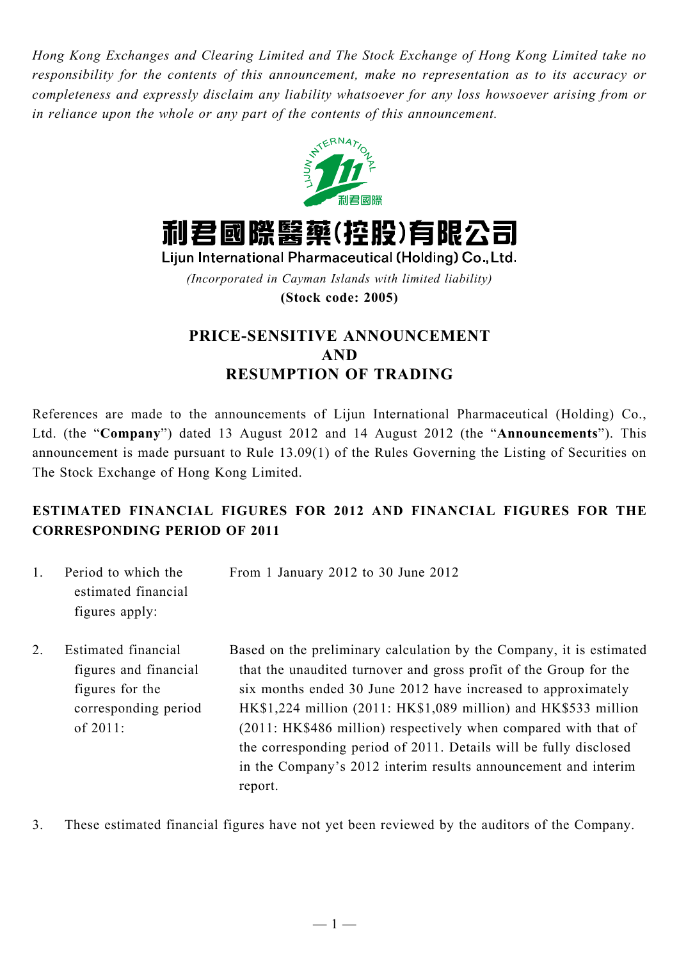*Hong Kong Exchanges and Clearing Limited and The Stock Exchange of Hong Kong Limited take no responsibility for the contents of this announcement, make no representation as to its accuracy or completeness and expressly disclaim any liability whatsoever for any loss howsoever arising from or in reliance upon the whole or any part of the contents of this announcement.*



利君國際醫藥(控股)有限公司

Lijun International Pharmaceutical (Holding) Co., Ltd. *(Incorporated in Cayman Islands with limited liability)* **(Stock code: 2005)**

# **PRICE-SENSITIVE ANNOUNCEMENT AND RESUMPTION OF TRADING**

References are made to the announcements of Lijun International Pharmaceutical (Holding) Co., Ltd. (the "**Company**") dated 13 August 2012 and 14 August 2012 (the "**Announcements**"). This announcement is made pursuant to Rule 13.09(1) of the Rules Governing the Listing of Securities on The Stock Exchange of Hong Kong Limited.

## **ESTIMATED FINANCIAL FIGURES FOR 2012 AND FINANCIAL FIGURES FOR THE CORRESPONDING PERIOD OF 2011**

- 1. Period to which the estimated financial figures apply: From 1 January 2012 to 30 June 2012
- 2. Estimated financial figures and financial figures for the corresponding period of 2011: Based on the preliminary calculation by the Company, it is estimated that the unaudited turnover and gross profit of the Group for the six months ended 30 June 2012 have increased to approximately HK\$1,224 million (2011: HK\$1,089 million) and HK\$533 million (2011: HK\$486 million) respectively when compared with that of the corresponding period of 2011. Details will be fully disclosed in the Company's 2012 interim results announcement and interim report.
- 3. These estimated financial figures have not yet been reviewed by the auditors of the Company.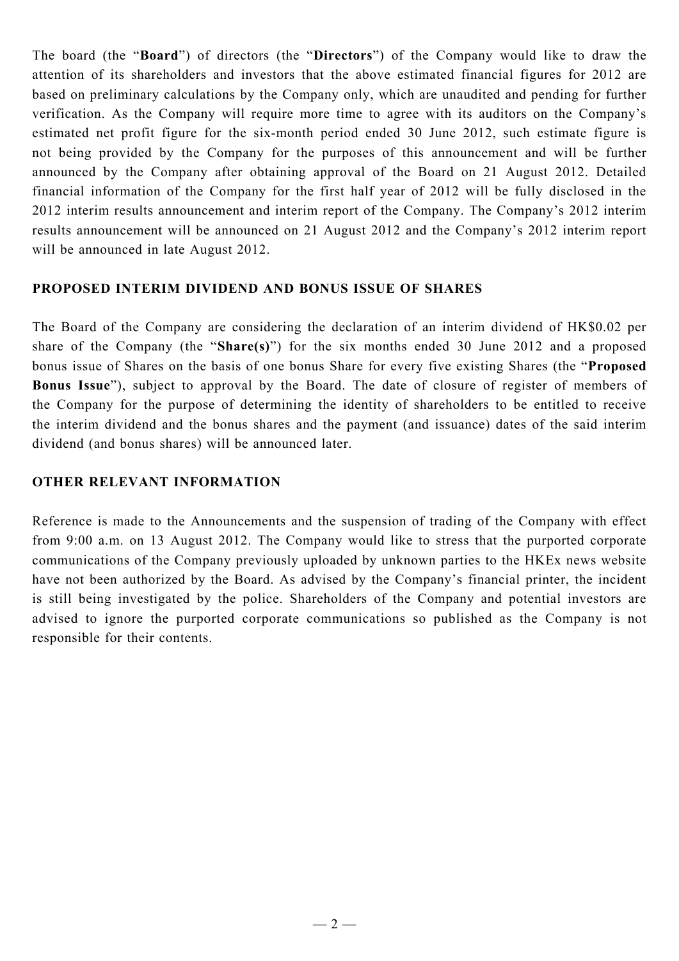The board (the "**Board**") of directors (the "**Directors**") of the Company would like to draw the attention of its shareholders and investors that the above estimated financial figures for 2012 are based on preliminary calculations by the Company only, which are unaudited and pending for further verification. As the Company will require more time to agree with its auditors on the Company's estimated net profit figure for the six-month period ended 30 June 2012, such estimate figure is not being provided by the Company for the purposes of this announcement and will be further announced by the Company after obtaining approval of the Board on 21 August 2012. Detailed financial information of the Company for the first half year of 2012 will be fully disclosed in the 2012 interim results announcement and interim report of the Company. The Company's 2012 interim results announcement will be announced on 21 August 2012 and the Company's 2012 interim report will be announced in late August 2012.

### **PROPOSED INTERIM DIVIDEND AND BONUS ISSUE OF SHARES**

The Board of the Company are considering the declaration of an interim dividend of HK\$0.02 per share of the Company (the "**Share(s)**") for the six months ended 30 June 2012 and a proposed bonus issue of Shares on the basis of one bonus Share for every five existing Shares (the "**Proposed Bonus Issue**"), subject to approval by the Board. The date of closure of register of members of the Company for the purpose of determining the identity of shareholders to be entitled to receive the interim dividend and the bonus shares and the payment (and issuance) dates of the said interim dividend (and bonus shares) will be announced later.

### **OTHER RELEVANT INFORMATION**

Reference is made to the Announcements and the suspension of trading of the Company with effect from 9:00 a.m. on 13 August 2012. The Company would like to stress that the purported corporate communications of the Company previously uploaded by unknown parties to the HKEx news website have not been authorized by the Board. As advised by the Company's financial printer, the incident is still being investigated by the police. Shareholders of the Company and potential investors are advised to ignore the purported corporate communications so published as the Company is not responsible for their contents.